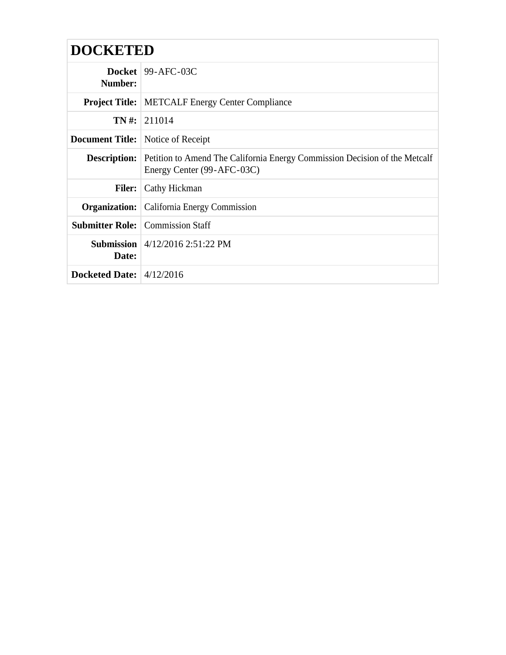| <b>DOCKETED</b>                          |                                                                                                                              |
|------------------------------------------|------------------------------------------------------------------------------------------------------------------------------|
| Number:                                  | Docket   $99-$ AFC-03C                                                                                                       |
|                                          | <b>Project Title:</b> METCALF Energy Center Compliance                                                                       |
|                                          | $TN \#: 211014$                                                                                                              |
| <b>Document Title:</b> Notice of Receipt |                                                                                                                              |
|                                          | <b>Description:</b> Petition to Amend The California Energy Commission Decision of the Metcalf<br>Energy Center (99-AFC-03C) |
| <b>Filer:</b>                            | Cathy Hickman                                                                                                                |
|                                          | <b>Organization:</b> California Energy Commission                                                                            |
|                                          | <b>Submitter Role:</b> Commission Staff                                                                                      |
| Date:                                    | <b>Submission</b> $\left[ 4/12/2016 \right. 2:51:22 \text{ PM}$                                                              |
| Docketed Date: $\frac{4}{12}{2016}$      |                                                                                                                              |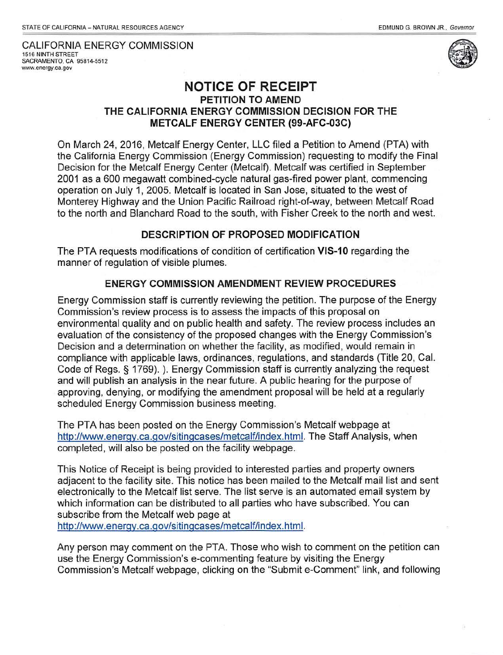CALIFORNIA ENERGY COMMISSION 1516 NINTH STREET SACRAMENTO, CA 95814-5512 www.energy.ca.gov



## **NOTICE OF RECEIPT**

## **PETITION TO AMEND THE CALIFORNIA ENERGY COMMISSION DECISION FOR THE METCALF ENERGY CENTER (99-AFC-03C)**

On March 24, 2016, Metcalf Energy Center, LLC filed a Petition to Amend (PTA) with the California Energy Commission (Energy Commission) requesting to modify the Final Decision for the Metcalf Energy Center (Metcalf). Metcalf was certified in September 2001 as a 600 megawatt combined-cycle natural gas-fired power plant, commencing operation on July 1, 2005. Metcalf is located in San Jose, situated to the west of Monterey Highway and the Union Pacific Railroad right-of-way, between Metcalf Road to the north and Blanchard Road to the south, with Fisher Creek to the north and west.

## **DESCRIPTION OF PROPOSED MODIFICATION**

The PTA requests modifications of condition of certification **VIS-10** regarding the manner of regulation of visible plumes.

## **ENERGY COMMISSION AMENDMENT REVIEW PROCEDURES**

Energy Commission staff is currently reviewing the petition. The purpose of the Energy Commission's review process is to assess the impacts of this proposal on environmental quality and on public health and safety. The review process includes an evaluation of the consistency of the proposed changes with the Energy Commission's Decision and a determination on whether the facility, as modified, would remain in compliance with applicable laws, ordinances, regulations, and standards (Title 20, Cal. Code of Regs. § 1769). ). Energy Commission staff is currently analyzing the request and will publish an analysis in the near future. A public hearing for the purpose of approving, denying, or modifying the amendment proposal will be held at a regularly scheduled Energy Commission business meeting.

The PTA has been posted on the Energy Commission's Metcalf webpage at http://www.energy.ca.gov/sitingcases/metcalf/index.html. The Staff Analysis, when completed, will also be posted on the facility webpage.

This Notice of Receipt is being provided to interested parties and property owners adjacent to the facility site. This notice has been mailed to the Metcalf mail list and sent electronically to the Metcalf list serve. The list serve is an automated email system by which information can be distributed to all parties who have subscribed. You can subscribe from the Metcalf web page at http://www.energy.ca.gov/sitingcases/metcalf/index.html.

Any person may comment on the PTA. Those who wish to comment on the petition can use the Energy Commission's e-commenting feature by visiting the Energy Commission's Metcalf webpage, clicking on the "Submit e-Comment" link, and following